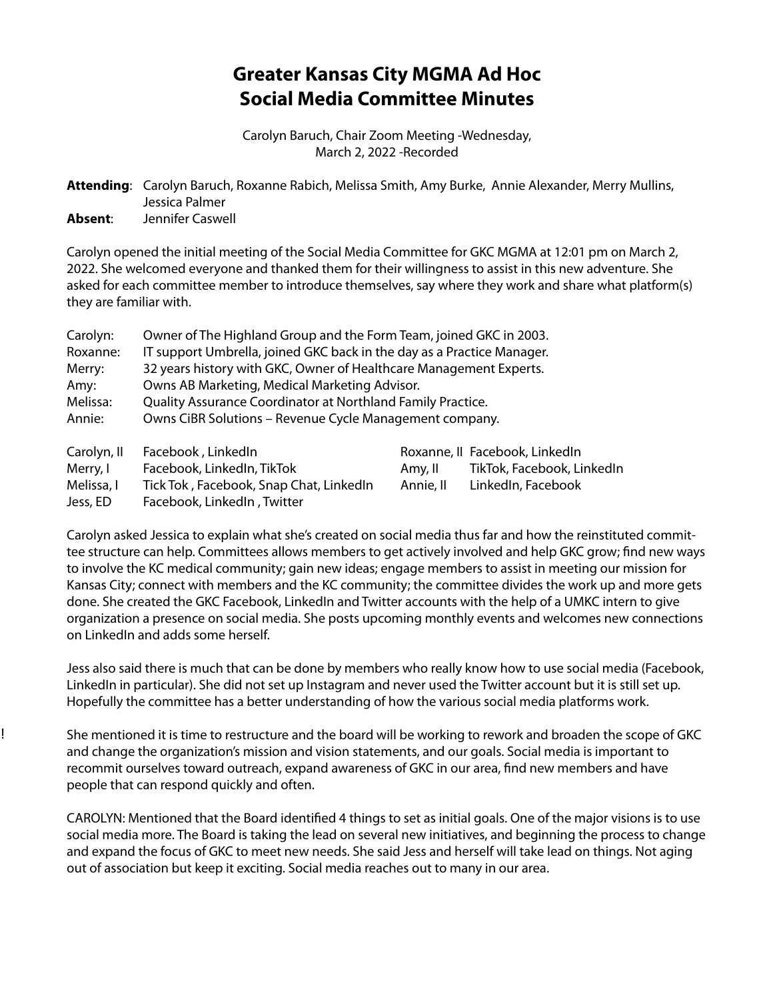# **Greater Kansas City MGMA Ad Hoc Social Media Committee Minutes**

Carolyn Baruch, Chair Zoom Meeting -Wednesday, March 2, 2022 -Recorded

**Attending**: Carolyn Baruch, Roxanne Rabich, Melissa Smith, Amy Burke, Annie Alexander, Merry Mullins, Jessica Palmer **Absent**: Jennifer Caswell

Carolyn opened the initial meeting of the Social Media Committee for GKC MGMA at 12:01 pm on March 2, 2022. She welcomed everyone and thanked them for their willingness to assist in this new adventure. She asked for each committee member to introduce themselves, say where they work and share what platform(s) they are familiar with.

| Carolyn:    | Owner of The Highland Group and the Form Team, joined GKC in 2003.     |           |                                |
|-------------|------------------------------------------------------------------------|-----------|--------------------------------|
| Roxanne:    | IT support Umbrella, joined GKC back in the day as a Practice Manager. |           |                                |
| Merry:      | 32 years history with GKC, Owner of Healthcare Management Experts.     |           |                                |
| Amy:        | Owns AB Marketing, Medical Marketing Advisor.                          |           |                                |
| Melissa:    | Quality Assurance Coordinator at Northland Family Practice.            |           |                                |
| Annie:      | Owns CiBR Solutions - Revenue Cycle Management company.                |           |                                |
| Carolyn, II | Facebook, LinkedIn                                                     |           | Roxanne, II Facebook, LinkedIn |
| Merry, I    | Facebook, LinkedIn, TikTok                                             | Amy, II   | TikTok, Facebook, LinkedIn     |
| Melissa, I  | Tick Tok, Facebook, Snap Chat, LinkedIn                                | Annie, II | LinkedIn, Facebook             |
| Jess, ED    | Facebook, LinkedIn, Twitter                                            |           |                                |

Carolyn asked Jessica to explain what she's created on social media thus far and how the reinstituted committee structure can help. Committees allows members to get actively involved and help GKC grow; find new ways to involve the KC medical community; gain new ideas; engage members to assist in meeting our mission for Kansas City; connect with members and the KC community; the committee divides the work up and more gets done. She created the GKC Facebook, LinkedIn and Twitter accounts with the help of a UMKC intern to give organization a presence on social media. She posts upcoming monthly events and welcomes new connections on LinkedIn and adds some herself.

Jess also said there is much that can be done by members who really know how to use social media (Facebook, LinkedIn in particular). She did not set up Instagram and never used the Twitter account but it is still set up. Hopefully the committee has a better understanding of how the various social media platforms work.

She mentioned it is time to restructure and the board will be working to rework and broaden the scope of GKC and change the organization's mission and vision statements, and our goals. Social media is important to recommit ourselves toward outreach, expand awareness of GKC in our area, find new members and have people that can respond quickly and often.

!

CAROLYN: Mentioned that the Board identified 4 things to set as initial goals. One of the major visions is to use social media more. The Board is taking the lead on several new initiatives, and beginning the process to change and expand the focus of GKC to meet new needs. She said Jess and herself will take lead on things. Not aging out of association but keep it exciting. Social media reaches out to many in our area.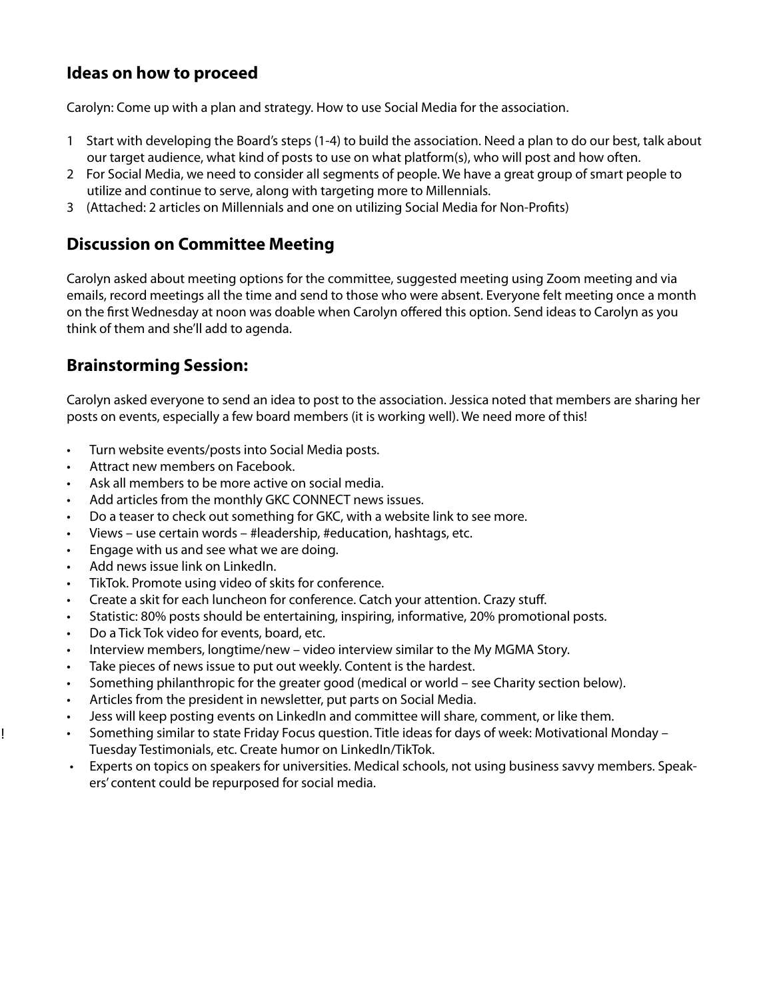## **Ideas on how to proceed**

Carolyn: Come up with a plan and strategy. How to use Social Media for the association.

- 1 Start with developing the Board's steps (1-4) to build the association. Need a plan to do our best, talk about our target audience, what kind of posts to use on what platform(s), who will post and how often.
- 2 For Social Media, we need to consider all segments of people. We have a great group of smart people to utilize and continue to serve, along with targeting more to Millennials.
- 3 (Attached: 2 articles on Millennials and one on utilizing Social Media for Non-Profits)

#### **Discussion on Committee Meeting**

Carolyn asked about meeting options for the committee, suggested meeting using Zoom meeting and via emails, record meetings all the time and send to those who were absent. Everyone felt meeting once a month on the first Wednesday at noon was doable when Carolyn offered this option. Send ideas to Carolyn as you think of them and she'll add to agenda.

### **Brainstorming Session:**

Carolyn asked everyone to send an idea to post to the association. Jessica noted that members are sharing her posts on events, especially a few board members (it is working well). We need more of this!

- Turn website events/posts into Social Media posts.
- Attract new members on Facebook.
- Ask all members to be more active on social media.
- Add articles from the monthly GKC CONNECT news issues.
- Do a teaser to check out something for GKC, with a website link to see more.
- Views use certain words #leadership, #education, hashtags, etc.
- Engage with us and see what we are doing.
- Add news issue link on LinkedIn.

!

- TikTok. Promote using video of skits for conference.
- Create a skit for each luncheon for conference. Catch your attention. Crazy stuff.
- Statistic: 80% posts should be entertaining, inspiring, informative, 20% promotional posts.
- Do a Tick Tok video for events, board, etc.
- Interview members, longtime/new video interview similar to the My MGMA Story.
- Take pieces of news issue to put out weekly. Content is the hardest.
- Something philanthropic for the greater good (medical or world see Charity section below).
- Articles from the president in newsletter, put parts on Social Media.
- Jess will keep posting events on LinkedIn and committee will share, comment, or like them.
- Something similar to state Friday Focus question. Title ideas for days of week: Motivational Monday Tuesday Testimonials, etc. Create humor on LinkedIn/TikTok.
- Experts on topics on speakers for universities. Medical schools, not using business savvy members. Speakers' content could be repurposed for social media.